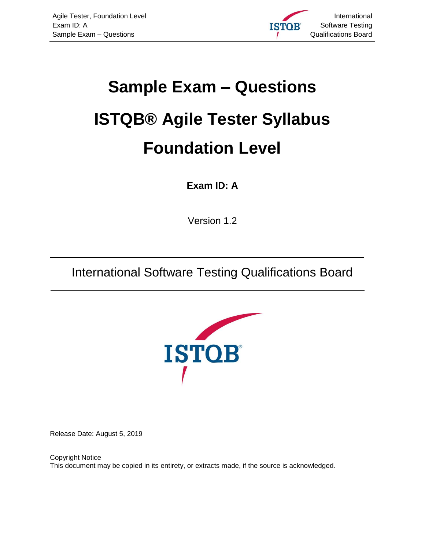

# **Sample Exam – Questions ISTQB® Agile Tester Syllabus Foundation Level**

# **Exam ID: A**

Version 1.2

# International Software Testing Qualifications Board



<span id="page-0-0"></span>Release Date: August 5, 2019

Copyright Notice This document may be copied in its entirety, or extracts made, if the source is acknowledged.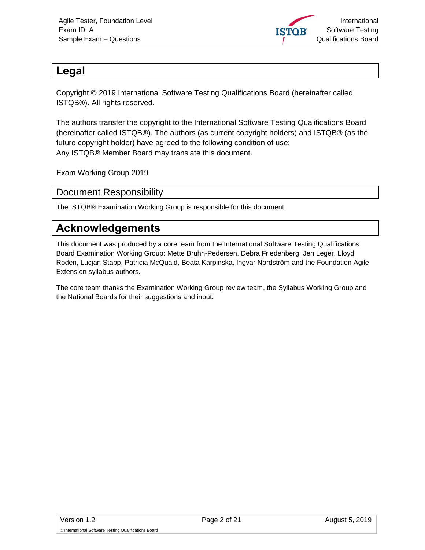

# <span id="page-1-0"></span>**Legal**

Copyright © 2019 International Software Testing Qualifications Board (hereinafter called ISTQB®). All rights reserved.

The authors transfer the copyright to the International Software Testing Qualifications Board (hereinafter called ISTQB®). The authors (as current copyright holders) and ISTQB® (as the future copyright holder) have agreed to the following condition of use: Any ISTQB® Member Board may translate this document.

Exam Working Group 2019

#### <span id="page-1-1"></span>Document Responsibility

The ISTQB® Examination Working Group is responsible for this document.

# <span id="page-1-2"></span>**Acknowledgements**

This document was produced by a core team from the International Software Testing Qualifications Board Examination Working Group: Mette Bruhn-Pedersen, Debra Friedenberg, Jen Leger, Lloyd Roden, Lucjan Stapp, Patricia McQuaid, Beata Karpinska, Ingvar Nordström and the Foundation Agile Extension syllabus authors.

The core team thanks the Examination Working Group review team, the Syllabus Working Group and the National Boards for their suggestions and input.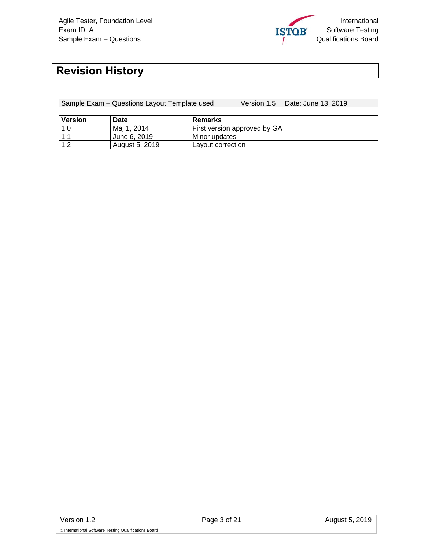

# <span id="page-2-0"></span>**Revision History**

| Sample Exam – Questions Layout Template used |                |                   |                              | Version 1.5 Date: June 13, 2019 |
|----------------------------------------------|----------------|-------------------|------------------------------|---------------------------------|
|                                              |                |                   |                              |                                 |
| <b>Version</b>                               | <b>Date</b>    | Remarks           |                              |                                 |
| 1.0                                          | Mai 1. 2014    |                   | First version approved by GA |                                 |
| 1.1                                          | June 6, 2019   | Minor updates     |                              |                                 |
| 1.2                                          | August 5, 2019 | Lavout correction |                              |                                 |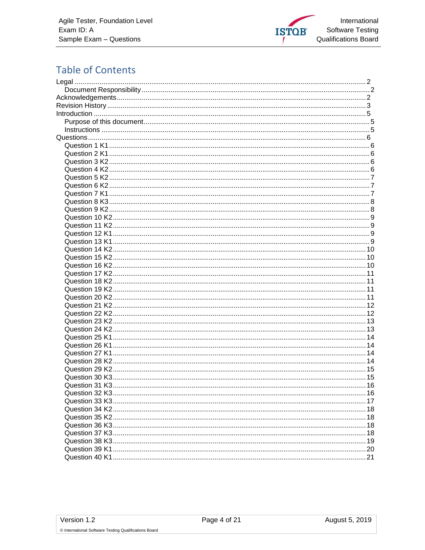

# **Table of Contents**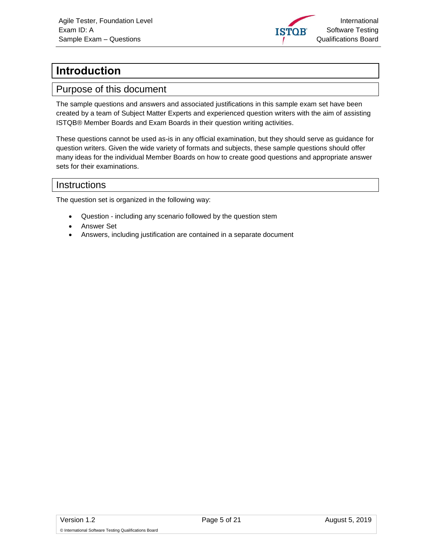

# <span id="page-4-0"></span>**Introduction**

#### <span id="page-4-1"></span>Purpose of this document

The sample questions and answers and associated justifications in this sample exam set have been created by a team of Subject Matter Experts and experienced question writers with the aim of assisting ISTQB® Member Boards and Exam Boards in their question writing activities.

These questions cannot be used as-is in any official examination, but they should serve as guidance for question writers. Given the wide variety of formats and subjects, these sample questions should offer many ideas for the individual Member Boards on how to create good questions and appropriate answer sets for their examinations.

#### <span id="page-4-2"></span>Instructions

The question set is organized in the following way:

- Question including any scenario followed by the question stem
- Answer Set
- Answers, including justification are contained in a separate document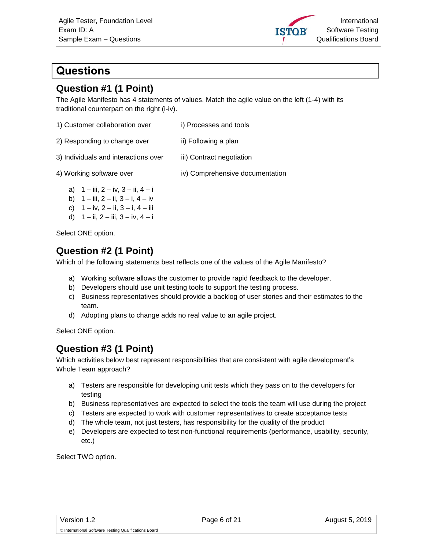

# <span id="page-5-0"></span>**Questions**

#### <span id="page-5-1"></span>**Question #1 (1 Point)**

The Agile Manifesto has 4 statements of values. Match the agile value on the left (1-4) with its traditional counterpart on the right (i-iv).

| 1) Customer collaboration over | i) Processes and tools |
|--------------------------------|------------------------|
|--------------------------------|------------------------|

- 2) Responding to change over ii) Following a plan
- 3) Individuals and interactions over iii) Contract negotiation

4) Working software over iv) Comprehensive documentation

- a)  $1 iii$ ,  $2 iv$ ,  $3 ii$ ,  $4 i$
- b)  $1 iii$ ,  $2 ii$ ,  $3 i$ ,  $4 iv$
- c)  $1 iv$ ,  $2 ii$ ,  $3 i$ ,  $4 iii$
- <span id="page-5-2"></span>d)  $1 - ii$ ,  $2 - iii$ ,  $3 - iv$ ,  $4 - i$

Select ONE option.

#### **Question #2 (1 Point)**

Which of the following statements best reflects one of the values of the Agile Manifesto?

- a) Working software allows the customer to provide rapid feedback to the developer.
- b) Developers should use unit testing tools to support the testing process.
- c) Business representatives should provide a backlog of user stories and their estimates to the team.
- d) Adopting plans to change adds no real value to an agile project.

<span id="page-5-3"></span>Select ONE option.

# **Question #3 (1 Point)**

Which activities below best represent responsibilities that are consistent with agile development's Whole Team approach?

- a) Testers are responsible for developing unit tests which they pass on to the developers for testing
- b) Business representatives are expected to select the tools the team will use during the project
- c) Testers are expected to work with customer representatives to create acceptance tests
- d) The whole team, not just testers, has responsibility for the quality of the product
- e) Developers are expected to test non-functional requirements (performance, usability, security, etc.)

<span id="page-5-4"></span>Select TWO option.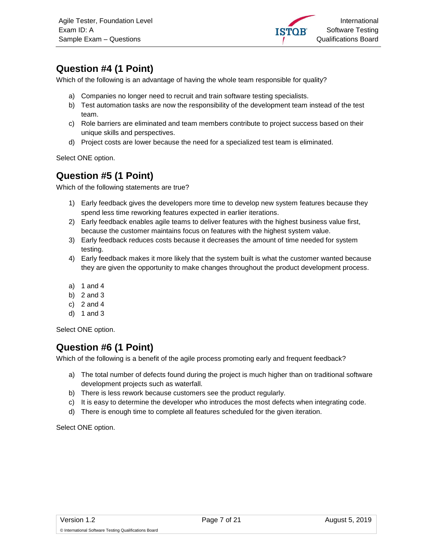

# **Question #4 (1 Point)**

Which of the following is an advantage of having the whole team responsible for quality?

- a) Companies no longer need to recruit and train software testing specialists.
- b) Test automation tasks are now the responsibility of the development team instead of the test team.
- c) Role barriers are eliminated and team members contribute to project success based on their unique skills and perspectives.
- d) Project costs are lower because the need for a specialized test team is eliminated.

<span id="page-6-0"></span>Select ONE option.

#### **Question #5 (1 Point)**

Which of the following statements are true?

- 1) Early feedback gives the developers more time to develop new system features because they spend less time reworking features expected in earlier iterations.
- 2) Early feedback enables agile teams to deliver features with the highest business value first, because the customer maintains focus on features with the highest system value.
- 3) Early feedback reduces costs because it decreases the amount of time needed for system testing.
- 4) Early feedback makes it more likely that the system built is what the customer wanted because they are given the opportunity to make changes throughout the product development process.
- a) 1 and 4
- b)  $2$  and  $3$
- c)  $2$  and  $4$
- d) 1 and 3

<span id="page-6-1"></span>Select ONE option.

# **Question #6 (1 Point)**

Which of the following is a benefit of the agile process promoting early and frequent feedback?

- a) The total number of defects found during the project is much higher than on traditional software development projects such as waterfall.
- b) There is less rework because customers see the product regularly.
- c) It is easy to determine the developer who introduces the most defects when integrating code.
- <span id="page-6-2"></span>d) There is enough time to complete all features scheduled for the given iteration.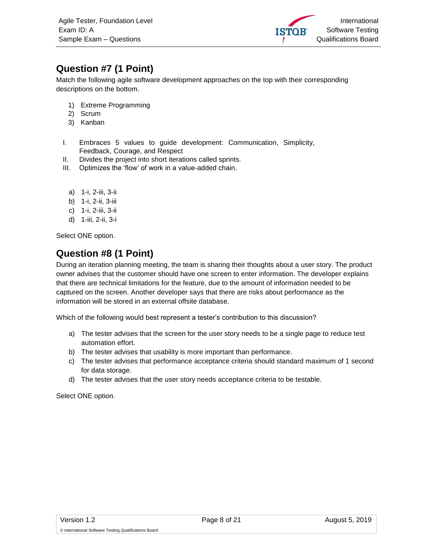

# **Question #7 (1 Point)**

Match the following agile software development approaches on the top with their corresponding descriptions on the bottom.

- 1) Extreme Programming
- 2) Scrum
- 3) Kanban
- I. Embraces 5 values to guide development: Communication, Simplicity, Feedback, Courage, and Respect
- II. Divides the project into short iterations called sprints.
- III. Optimizes the 'flow' of work in a value-added chain.
	- a) 1-i, 2-iii, 3-ii
	- b) 1-i, 2-ii, 3-iii
	- c) 1-i, 2-iii, 3-ii
	- d) 1-iii, 2-ii, 3-i

<span id="page-7-0"></span>Select ONE option.

# **Question #8 (1 Point)**

During an iteration planning meeting, the team is sharing their thoughts about a user story. The product owner advises that the customer should have one screen to enter information. The developer explains that there are technical limitations for the feature, due to the amount of information needed to be captured on the screen. Another developer says that there are risks about performance as the information will be stored in an external offsite database.

Which of the following would best represent a tester's contribution to this discussion?

- a) The tester advises that the screen for the user story needs to be a single page to reduce test automation effort.
- b) The tester advises that usability is more important than performance.
- c) The tester advises that performance acceptance criteria should standard maximum of 1 second for data storage.
- <span id="page-7-1"></span>d) The tester advises that the user story needs acceptance criteria to be testable.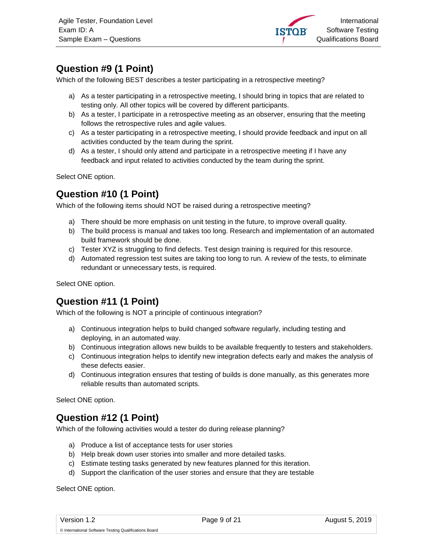

# **Question #9 (1 Point)**

Which of the following BEST describes a tester participating in a retrospective meeting?

- a) As a tester participating in a retrospective meeting, I should bring in topics that are related to testing only. All other topics will be covered by different participants.
- b) As a tester, I participate in a retrospective meeting as an observer, ensuring that the meeting follows the retrospective rules and agile values.
- c) As a tester participating in a retrospective meeting, I should provide feedback and input on all activities conducted by the team during the sprint.
- d) As a tester, I should only attend and participate in a retrospective meeting if I have any feedback and input related to activities conducted by the team during the sprint.

<span id="page-8-0"></span>Select ONE option.

#### **Question #10 (1 Point)**

Which of the following items should NOT be raised during a retrospective meeting?

- a) There should be more emphasis on unit testing in the future, to improve overall quality.
- b) The build process is manual and takes too long. Research and implementation of an automated build framework should be done.
- c) Tester XYZ is struggling to find defects. Test design training is required for this resource.
- d) Automated regression test suites are taking too long to run. A review of the tests, to eliminate redundant or unnecessary tests, is required.

<span id="page-8-1"></span>Select ONE option.

# **Question #11 (1 Point)**

Which of the following is NOT a principle of continuous integration?

- a) Continuous integration helps to build changed software regularly, including testing and deploying, in an automated way.
- b) Continuous integration allows new builds to be available frequently to testers and stakeholders.
- c) Continuous integration helps to identify new integration defects early and makes the analysis of these defects easier.
- d) Continuous integration ensures that testing of builds is done manually, as this generates more reliable results than automated scripts.

<span id="page-8-2"></span>Select ONE option.

#### **Question #12 (1 Point)**

Which of the following activities would a tester do during release planning?

- a) Produce a list of acceptance tests for user stories
- b) Help break down user stories into smaller and more detailed tasks.
- c) Estimate testing tasks generated by new features planned for this iteration.
- <span id="page-8-3"></span>d) Support the clarification of the user stories and ensure that they are testable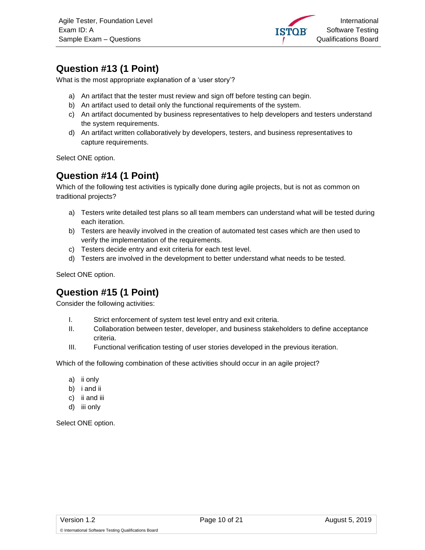

# **Question #13 (1 Point)**

What is the most appropriate explanation of a 'user story'?

- a) An artifact that the tester must review and sign off before testing can begin.
- b) An artifact used to detail only the functional requirements of the system.
- c) An artifact documented by business representatives to help developers and testers understand the system requirements.
- d) An artifact written collaboratively by developers, testers, and business representatives to capture requirements.

<span id="page-9-0"></span>Select ONE option.

#### **Question #14 (1 Point)**

Which of the following test activities is typically done during agile projects, but is not as common on traditional projects?

- a) Testers write detailed test plans so all team members can understand what will be tested during each iteration.
- b) Testers are heavily involved in the creation of automated test cases which are then used to verify the implementation of the requirements.
- c) Testers decide entry and exit criteria for each test level.
- d) Testers are involved in the development to better understand what needs to be tested.

<span id="page-9-1"></span>Select ONE option.

#### **Question #15 (1 Point)**

Consider the following activities:

- I. Strict enforcement of system test level entry and exit criteria.
- II. Collaboration between tester, developer, and business stakeholders to define acceptance criteria.
- III. Functional verification testing of user stories developed in the previous iteration.

Which of the following combination of these activities should occur in an agile project?

- a) ii only
- b) i and ii
- c) ii and iii
- <span id="page-9-2"></span>d) iii only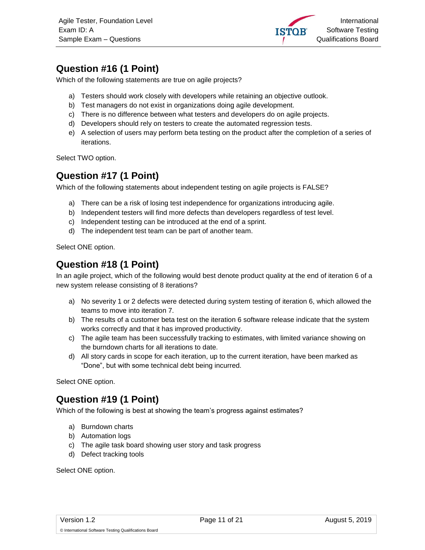

# **Question #16 (1 Point)**

Which of the following statements are true on agile projects?

- a) Testers should work closely with developers while retaining an objective outlook.
- b) Test managers do not exist in organizations doing agile development.
- c) There is no difference between what testers and developers do on agile projects.
- d) Developers should rely on testers to create the automated regression tests.
- e) A selection of users may perform beta testing on the product after the completion of a series of iterations.

<span id="page-10-0"></span>Select TWO option.

#### **Question #17 (1 Point)**

Which of the following statements about independent testing on agile projects is FALSE?

- a) There can be a risk of losing test independence for organizations introducing agile.
- b) Independent testers will find more defects than developers regardless of test level.
- c) Independent testing can be introduced at the end of a sprint.
- d) The independent test team can be part of another team.

<span id="page-10-1"></span>Select ONE option.

#### **Question #18 (1 Point)**

In an agile project, which of the following would best denote product quality at the end of iteration 6 of a new system release consisting of 8 iterations?

- a) No severity 1 or 2 defects were detected during system testing of iteration 6, which allowed the teams to move into iteration 7.
- b) The results of a customer beta test on the iteration 6 software release indicate that the system works correctly and that it has improved productivity.
- c) The agile team has been successfully tracking to estimates, with limited variance showing on the burndown charts for all iterations to date.
- d) All story cards in scope for each iteration, up to the current iteration, have been marked as "Done", but with some technical debt being incurred.

<span id="page-10-2"></span>Select ONE option.

#### **Question #19 (1 Point)**

Which of the following is best at showing the team's progress against estimates?

- a) Burndown charts
- b) Automation logs
- c) The agile task board showing user story and task progress
- <span id="page-10-3"></span>d) Defect tracking tools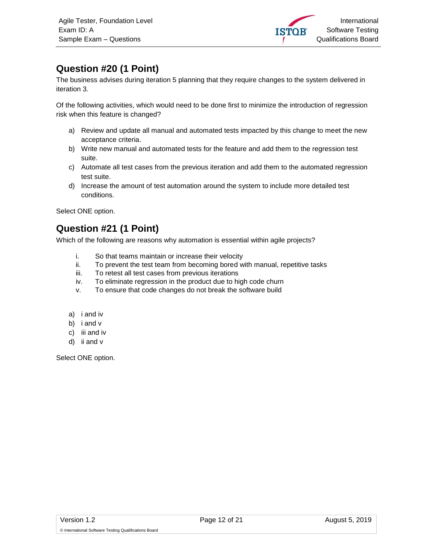

# **Question #20 (1 Point)**

The business advises during iteration 5 planning that they require changes to the system delivered in iteration 3.

Of the following activities, which would need to be done first to minimize the introduction of regression risk when this feature is changed?

- a) Review and update all manual and automated tests impacted by this change to meet the new acceptance criteria.
- b) Write new manual and automated tests for the feature and add them to the regression test suite.
- c) Automate all test cases from the previous iteration and add them to the automated regression test suite.
- d) Increase the amount of test automation around the system to include more detailed test conditions.

<span id="page-11-0"></span>Select ONE option.

#### **Question #21 (1 Point)**

Which of the following are reasons why automation is essential within agile projects?

- i. So that teams maintain or increase their velocity
- ii. To prevent the test team from becoming bored with manual, repetitive tasks
- iii. To retest all test cases from previous iterations
- iv. To eliminate regression in the product due to high code churn
- v. To ensure that code changes do not break the software build
- a) i and iv
- b) i and v
- c) iii and iv
- <span id="page-11-1"></span>d) ii and v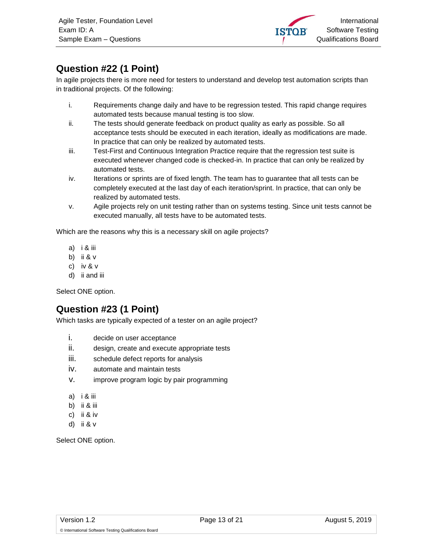

# **Question #22 (1 Point)**

In agile projects there is more need for testers to understand and develop test automation scripts than in traditional projects. Of the following:

- i. Requirements change daily and have to be regression tested. This rapid change requires automated tests because manual testing is too slow.
- ii. The tests should generate feedback on product quality as early as possible. So all acceptance tests should be executed in each iteration, ideally as modifications are made. In practice that can only be realized by automated tests.
- iii. Test-First and Continuous Integration Practice require that the regression test suite is executed whenever changed code is checked-in. In practice that can only be realized by automated tests.
- iv. Iterations or sprints are of fixed length. The team has to guarantee that all tests can be completely executed at the last day of each iteration/sprint. In practice, that can only be realized by automated tests.
- v. Agile projects rely on unit testing rather than on systems testing. Since unit tests cannot be executed manually, all tests have to be automated tests.

Which are the reasons why this is a necessary skill on agile projects?

- a) i & iii
- b) ii & v
- c) iv & v
- d) ii and iii

<span id="page-12-0"></span>Select ONE option.

# **Question #23 (1 Point)**

Which tasks are typically expected of a tester on an agile project?

- i. decide on user acceptance
- ii. design, create and execute appropriate tests
- iii. schedule defect reports for analysis
- iv. automate and maintain tests
- v. improve program logic by pair programming
- a) i & iii
- b) ii & iii
- c) ii & iv
- <span id="page-12-1"></span>d) ii & v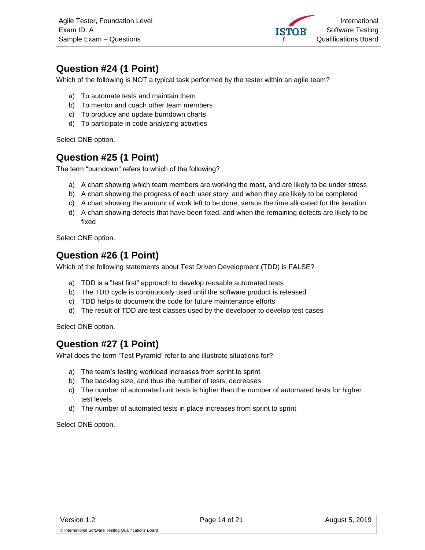

# **Question #24 (1 Point)**

Which of the following is NOT a typical task performed by the tester within an agile team?

- a) To automate tests and maintain them
- b) To mentor and coach other team members
- c) To produce and update burndown charts
- d) To participate in code analyzing activities

<span id="page-13-0"></span>Select ONE option.

# **Question #25 (1 Point)**

The term "burndown" refers to which of the following?

- a) A chart showing which team members are working the most, and are likely to be under stress
- b) A chart showing the progress of each user story, and when they are likely to be completed
- c) A chart showing the amount of work left to be done, versus the time allocated for the iteration
- d) A chart showing defects that have been fixed, and when the remaining defects are likely to be fixed

<span id="page-13-1"></span>Select ONE option.

#### **Question #26 (1 Point)**

Which of the following statements about Test Driven Development (TDD) is FALSE?

- a) TDD is a "test first" approach to develop reusable automated tests
- b) The TDD cycle is continuously used until the software product is released
- c) TDD helps to document the code for future maintenance efforts
- d) The result of TDD are test classes used by the developer to develop test cases

Select ONE option.

#### <span id="page-13-2"></span>**Question #27 (1 Point)**

What does the term 'Test Pyramid' refer to and illustrate situations for?

- a) The team's testing workload increases from sprint to sprint
- b) The backlog size, and thus the number of tests, decreases
- c) The number of automated unit tests is higher than the number of automated tests for higher test levels
- <span id="page-13-3"></span>d) The number of automated tests in place increases from sprint to sprint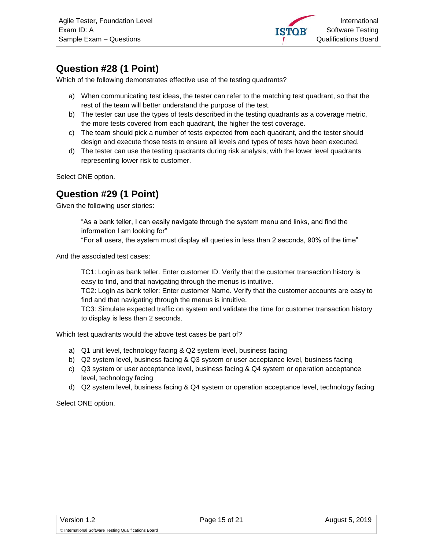

# **Question #28 (1 Point)**

Which of the following demonstrates effective use of the testing quadrants?

- a) When communicating test ideas, the tester can refer to the matching test quadrant, so that the rest of the team will better understand the purpose of the test.
- b) The tester can use the types of tests described in the testing quadrants as a coverage metric, the more tests covered from each quadrant, the higher the test coverage.
- c) The team should pick a number of tests expected from each quadrant, and the tester should design and execute those tests to ensure all levels and types of tests have been executed.
- d) The tester can use the testing quadrants during risk analysis; with the lower level quadrants representing lower risk to customer.

<span id="page-14-0"></span>Select ONE option.

#### **Question #29 (1 Point)**

Given the following user stories:

"As a bank teller, I can easily navigate through the system menu and links, and find the information I am looking for"

"For all users, the system must display all queries in less than 2 seconds, 90% of the time"

And the associated test cases:

TC1: Login as bank teller. Enter customer ID. Verify that the customer transaction history is easy to find, and that navigating through the menus is intuitive.

TC2: Login as bank teller: Enter customer Name. Verify that the customer accounts are easy to find and that navigating through the menus is intuitive.

TC3: Simulate expected traffic on system and validate the time for customer transaction history to display is less than 2 seconds.

Which test quadrants would the above test cases be part of?

- a) Q1 unit level, technology facing & Q2 system level, business facing
- b) Q2 system level, business facing & Q3 system or user acceptance level, business facing
- c) Q3 system or user acceptance level, business facing & Q4 system or operation acceptance level, technology facing
- <span id="page-14-1"></span>d) Q2 system level, business facing & Q4 system or operation acceptance level, technology facing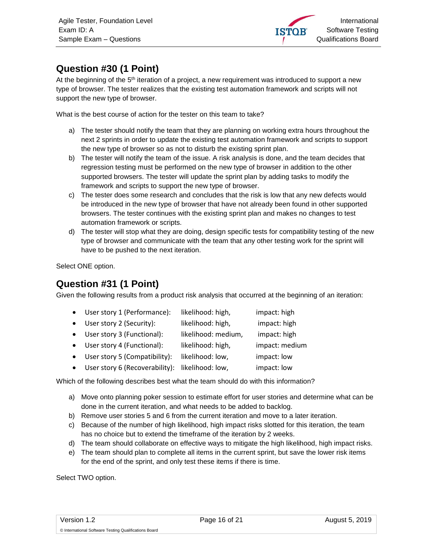

# **Question #30 (1 Point)**

At the beginning of the 5<sup>th</sup> iteration of a project, a new requirement was introduced to support a new type of browser. The tester realizes that the existing test automation framework and scripts will not support the new type of browser.

What is the best course of action for the tester on this team to take?

- a) The tester should notify the team that they are planning on working extra hours throughout the next 2 sprints in order to update the existing test automation framework and scripts to support the new type of browser so as not to disturb the existing sprint plan.
- b) The tester will notify the team of the issue. A risk analysis is done, and the team decides that regression testing must be performed on the new type of browser in addition to the other supported browsers. The tester will update the sprint plan by adding tasks to modify the framework and scripts to support the new type of browser.
- c) The tester does some research and concludes that the risk is low that any new defects would be introduced in the new type of browser that have not already been found in other supported browsers. The tester continues with the existing sprint plan and makes no changes to test automation framework or scripts.
- d) The tester will stop what they are doing, design specific tests for compatibility testing of the new type of browser and communicate with the team that any other testing work for the sprint will have to be pushed to the next iteration.

Select ONE option.

#### <span id="page-15-0"></span>**Question #31 (1 Point)**

Given the following results from a product risk analysis that occurred at the beginning of an iteration:

| $\bullet$ | User story 1 (Performance):    | likelihood: high,   | impact: high   |
|-----------|--------------------------------|---------------------|----------------|
| $\bullet$ | User story 2 (Security):       | likelihood: high,   | impact: high   |
| $\bullet$ | User story 3 (Functional):     | likelihood: medium, | impact: high   |
| $\bullet$ | User story 4 (Functional):     | likelihood: high,   | impact: medium |
|           | User story 5 (Compatibility):  | likelihood: low,    | impact: low    |
| $\bullet$ | User story 6 (Recoverability): | likelihood: low,    | impact: low    |

Which of the following describes best what the team should do with this information?

- a) Move onto planning poker session to estimate effort for user stories and determine what can be done in the current iteration, and what needs to be added to backlog.
- b) Remove user stories 5 and 6 from the current iteration and move to a later iteration.
- c) Because of the number of high likelihood, high impact risks slotted for this iteration, the team has no choice but to extend the timeframe of the iteration by 2 weeks.
- d) The team should collaborate on effective ways to mitigate the high likelihood, high impact risks.
- e) The team should plan to complete all items in the current sprint, but save the lower risk items for the end of the sprint, and only test these items if there is time.

<span id="page-15-1"></span>Select TWO option.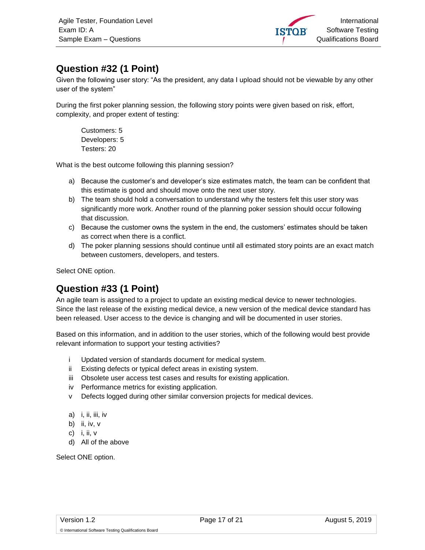

# **Question #32 (1 Point)**

Given the following user story: "As the president, any data I upload should not be viewable by any other user of the system"

During the first poker planning session, the following story points were given based on risk, effort, complexity, and proper extent of testing:

Customers: 5 Developers: 5 Testers: 20

What is the best outcome following this planning session?

- a) Because the customer's and developer's size estimates match, the team can be confident that this estimate is good and should move onto the next user story.
- b) The team should hold a conversation to understand why the testers felt this user story was significantly more work. Another round of the planning poker session should occur following that discussion.
- c) Because the customer owns the system in the end, the customers' estimates should be taken as correct when there is a conflict.
- d) The poker planning sessions should continue until all estimated story points are an exact match between customers, developers, and testers.

Select ONE option.

# <span id="page-16-0"></span>**Question #33 (1 Point)**

An agile team is assigned to a project to update an existing medical device to newer technologies. Since the last release of the existing medical device, a new version of the medical device standard has been released. User access to the device is changing and will be documented in user stories.

Based on this information, and in addition to the user stories, which of the following would best provide relevant information to support your testing activities?

- i Updated version of standards document for medical system.
- ii Existing defects or typical defect areas in existing system.
- iii Obsolete user access test cases and results for existing application.
- iv Performance metrics for existing application.
- v Defects logged during other similar conversion projects for medical devices.
- a) *i*, *ii*, *iii*, *iv*
- b) ii, iv, v
- c) i, ii, v
- <span id="page-16-1"></span>d) All of the above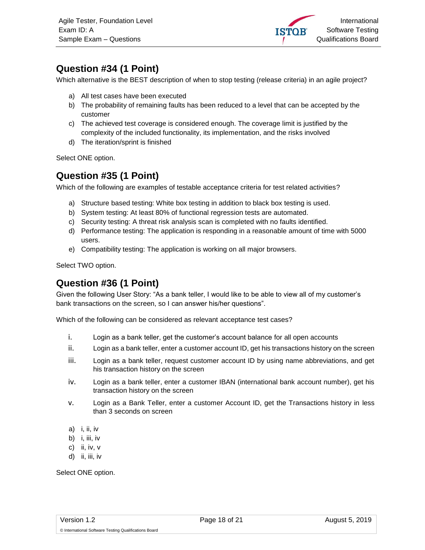

# **Question #34 (1 Point)**

Which alternative is the BEST description of when to stop testing (release criteria) in an agile project?

- a) All test cases have been executed
- b) The probability of remaining faults has been reduced to a level that can be accepted by the customer
- c) The achieved test coverage is considered enough. The coverage limit is justified by the complexity of the included functionality, its implementation, and the risks involved
- d) The iteration/sprint is finished

<span id="page-17-0"></span>Select ONE option.

#### **Question #35 (1 Point)**

Which of the following are examples of testable acceptance criteria for test related activities?

- a) Structure based testing: White box testing in addition to black box testing is used.
- b) System testing: At least 80% of functional regression tests are automated.
- c) Security testing: A threat risk analysis scan is completed with no faults identified.
- d) Performance testing: The application is responding in a reasonable amount of time with 5000 users.
- e) Compatibility testing: The application is working on all major browsers.

Select TWO option.

#### <span id="page-17-1"></span>**Question #36 (1 Point)**

Given the following User Story: "As a bank teller, I would like to be able to view all of my customer's bank transactions on the screen, so I can answer his/her questions".

Which of the following can be considered as relevant acceptance test cases?

- i. Login as a bank teller, get the customer's account balance for all open accounts
- ii. Login as a bank teller, enter a customer account ID, get his transactions history on the screen
- iii. Login as a bank teller, request customer account ID by using name abbreviations, and get his transaction history on the screen
- iv. Login as a bank teller, enter a customer IBAN (international bank account number), get his transaction history on the screen
- v. Login as a Bank Teller, enter a customer Account ID, get the Transactions history in less than 3 seconds on screen
- a) i, ii, iv
- b) i, iii, iv
- c) ii, iv, v
- <span id="page-17-2"></span>d) ii, iii, iv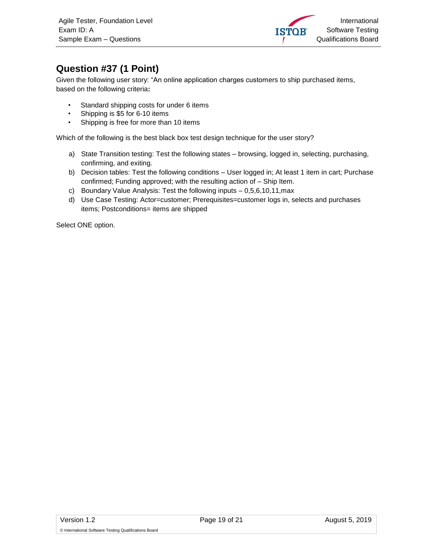

# **Question #37 (1 Point)**

Given the following user story: "An online application charges customers to ship purchased items, based on the following criteria**:**

- Standard shipping costs for under 6 items
- Shipping is \$5 for 6-10 items
- Shipping is free for more than 10 items

Which of the following is the best black box test design technique for the user story?

- a) State Transition testing: Test the following states browsing, logged in, selecting, purchasing, confirming, and exiting.
- b) Decision tables: Test the following conditions User logged in; At least 1 item in cart; Purchase confirmed; Funding approved; with the resulting action of – Ship Item.
- c) Boundary Value Analysis: Test the following inputs 0,5,6,10,11,max
- <span id="page-18-0"></span>d) Use Case Testing: Actor=customer; Prerequisites=customer logs in, selects and purchases items; Postconditions= items are shipped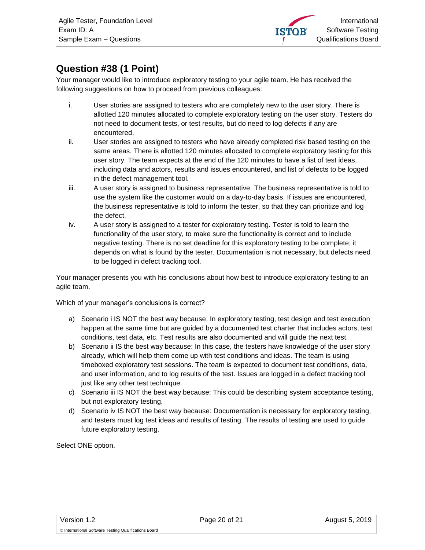

# **Question #38 (1 Point)**

Your manager would like to introduce exploratory testing to your agile team. He has received the following suggestions on how to proceed from previous colleagues:

- i. User stories are assigned to testers who are completely new to the user story. There is allotted 120 minutes allocated to complete exploratory testing on the user story. Testers do not need to document tests, or test results, but do need to log defects if any are encountered.
- ii. User stories are assigned to testers who have already completed risk based testing on the same areas. There is allotted 120 minutes allocated to complete exploratory testing for this user story. The team expects at the end of the 120 minutes to have a list of test ideas, including data and actors, results and issues encountered, and list of defects to be logged in the defect management tool.
- iii. A user story is assigned to business representative. The business representative is told to use the system like the customer would on a day-to-day basis. If issues are encountered, the business representative is told to inform the tester, so that they can prioritize and log the defect.
- iv. A user story is assigned to a tester for exploratory testing. Tester is told to learn the functionality of the user story, to make sure the functionality is correct and to include negative testing. There is no set deadline for this exploratory testing to be complete; it depends on what is found by the tester. Documentation is not necessary, but defects need to be logged in defect tracking tool.

Your manager presents you with his conclusions about how best to introduce exploratory testing to an agile team.

Which of your manager's conclusions is correct?

- a) Scenario i IS NOT the best way because: In exploratory testing, test design and test execution happen at the same time but are guided by a documented test charter that includes actors, test conditions, test data, etc. Test results are also documented and will guide the next test.
- b) Scenario ii IS the best way because: In this case, the testers have knowledge of the user story already, which will help them come up with test conditions and ideas. The team is using timeboxed exploratory test sessions. The team is expected to document test conditions, data, and user information, and to log results of the test. Issues are logged in a defect tracking tool just like any other test technique.
- c) Scenario iii IS NOT the best way because: This could be describing system acceptance testing, but not exploratory testing.
- <span id="page-19-0"></span>d) Scenario iv IS NOT the best way because: Documentation is necessary for exploratory testing, and testers must log test ideas and results of testing. The results of testing are used to guide future exploratory testing.